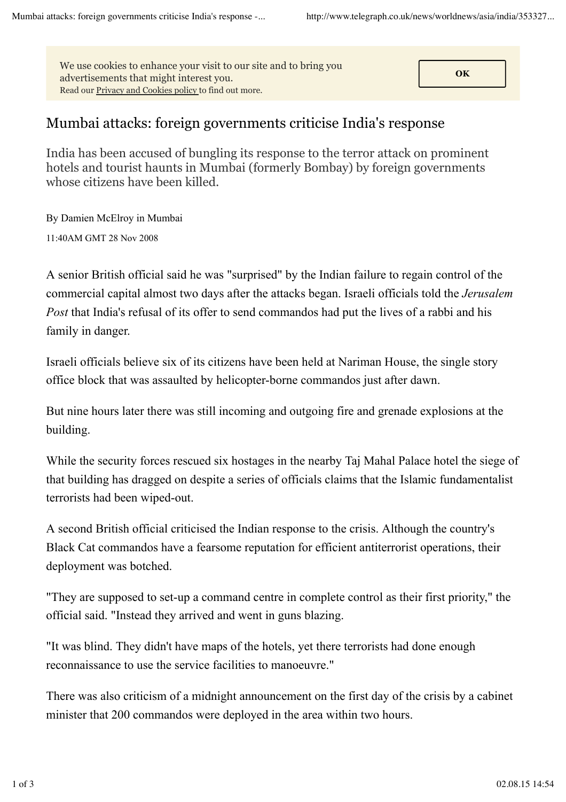**CON** We use cookies to enhance your visit to our site and to bring you advertisements that might interest you. Read our Privacy and Cookies policy to find out more.

## Mumbai attacks: foreign governments criticise India's response

India has been accused of bungling its response to the terror attack on prominent hotels and tourist haunts in Mumbai (formerly Bombay) by foreign governments whose citizens have been killed.

By Damien McElroy in Mumbai 11:40AM GMT 28 Nov 2008

A senior British official said he was "surprised" by the Indian failure to regain control of the commercial capital almost two days after the attacks began. Israeli officials told the *Jerusalem Post* that India's refusal of its offer to send commandos had put the lives of a rabbi and his family in danger.

Israeli officials believe six of its citizens have been held at Nariman House, the single story office block that was assaulted by helicopter-borne commandos just after dawn.

But nine hours later there was still incoming and outgoing fire and grenade explosions at the building.

While the security forces rescued six hostages in the nearby Taj Mahal Palace hotel the siege of that building has dragged on despite a series of officials claims that the Islamic fundamentalist terrorists had been wiped-out.

A second British official criticised the Indian response to the crisis. Although the country's Black Cat commandos have a fearsome reputation for efficient antiterrorist operations, their deployment was botched.

"They are supposed to set-up a command centre in complete control as their first priority," the official said. "Instead they arrived and went in guns blazing.

"It was blind. They didn't have maps of the hotels, yet there terrorists had done enough reconnaissance to use the service facilities to manoeuvre."

There was also criticism of a midnight announcement on the first day of the crisis by a cabinet minister that 200 commandos were deployed in the area within two hours.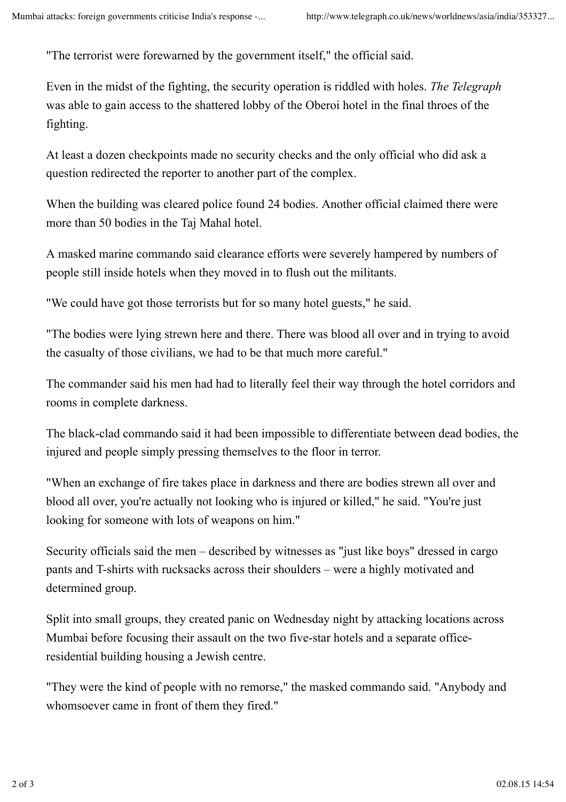"The terrorist were forewarned by the government itself," the official said.

Even in the midst of the fighting, the security operation is riddled with holes. *The Telegraph* was able to gain access to the shattered lobby of the Oberoi hotel in the final throes of the fighting.

At least a dozen checkpoints made no security checks and the only official who did ask a question redirected the reporter to another part of the complex.

When the building was cleared police found 24 bodies. Another official claimed there were more than 50 bodies in the Taj Mahal hotel.

A masked marine commando said clearance efforts were severely hampered by numbers of people still inside hotels when they moved in to flush out the militants.

"We could have got those terrorists but for so many hotel guests," he said.

"The bodies were lying strewn here and there. There was blood all over and in trying to avoid the casualty of those civilians, we had to be that much more careful."

The commander said his men had had to literally feel their way through the hotel corridors and rooms in complete darkness.

The black-clad commando said it had been impossible to differentiate between dead bodies, the injured and people simply pressing themselves to the floor in terror.

"When an exchange of fire takes place in darkness and there are bodies strewn all over and blood all over, you're actually not looking who is injured or killed," he said. "You're just looking for someone with lots of weapons on him."

Security officials said the men – described by witnesses as "just like boys" dressed in cargo pants and T-shirts with rucksacks across their shoulders – were a highly motivated and determined group.

Split into small groups, they created panic on Wednesday night by attacking locations across Mumbai before focusing their assault on the two five-star hotels and a separate officeresidential building housing a Jewish centre.

"They were the kind of people with no remorse," the masked commando said. "Anybody and whomsoever came in front of them they fired."